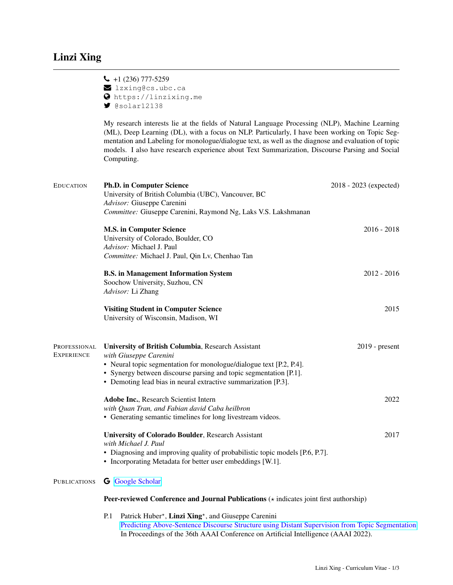$\bigcup$  +1 (236) 777-5259  $\blacksquare$  lzxing@cs.ubc.ca https://linzixing.me

 $\blacktriangleright$  @solar12138

|                            | My research interests lie at the fields of Natural Language Processing (NLP), Machine Learning<br>(ML), Deep Learning (DL), with a focus on NLP. Particularly, I have been working on Topic Seg-<br>mentation and Labeling for monologue/dialogue text, as well as the diagnose and evaluation of topic<br>models. I also have research experience about Text Summarization, Discourse Parsing and Social<br>Computing. |                        |  |
|----------------------------|-------------------------------------------------------------------------------------------------------------------------------------------------------------------------------------------------------------------------------------------------------------------------------------------------------------------------------------------------------------------------------------------------------------------------|------------------------|--|
| <b>EDUCATION</b>           | <b>Ph.D. in Computer Science</b><br>University of British Columbia (UBC), Vancouver, BC<br>Advisor: Giuseppe Carenini<br>Committee: Giuseppe Carenini, Raymond Ng, Laks V.S. Lakshmanan                                                                                                                                                                                                                                 | 2018 - 2023 (expected) |  |
|                            | <b>M.S. in Computer Science</b><br>University of Colorado, Boulder, CO<br>Advisor: Michael J. Paul<br>Committee: Michael J. Paul, Qin Lv, Chenhao Tan                                                                                                                                                                                                                                                                   | $2016 - 2018$          |  |
|                            | <b>B.S.</b> in Management Information System<br>Soochow University, Suzhou, CN<br>Advisor: Li Zhang                                                                                                                                                                                                                                                                                                                     | $2012 - 2016$          |  |
|                            | <b>Visiting Student in Computer Science</b><br>University of Wisconsin, Madison, WI                                                                                                                                                                                                                                                                                                                                     | 2015                   |  |
| PROFESSIONAL<br>Experience | University of British Columbia, Research Assistant<br>with Giuseppe Carenini<br>• Neural topic segmentation for monologue/dialogue text [P.2, P.4].<br>• Synergy between discourse parsing and topic segmentation [P.1].<br>• Demoting lead bias in neural extractive summarization [P.3].                                                                                                                              | $2019$ - present       |  |
|                            | Adobe Inc., Research Scientist Intern<br>with Quan Tran, and Fabian david Caba heilbron<br>• Generating semantic timelines for long livestream videos.                                                                                                                                                                                                                                                                  | 2022                   |  |
|                            | <b>University of Colorado Boulder</b> , Research Assistant<br>with Michael J. Paul<br>• Diagnosing and improving quality of probabilistic topic models [P.6, P.7].<br>• Incorporating Metadata for better user embeddings [W.1].                                                                                                                                                                                        | 2017                   |  |
| PUBLICATIONS               | <b>G</b> Google Scholar                                                                                                                                                                                                                                                                                                                                                                                                 |                        |  |
|                            | <b>Peer-reviewed Conference and Journal Publications</b> $\star$ indicates joint first authorship)                                                                                                                                                                                                                                                                                                                      |                        |  |

P.1 Patrick Huber<sup>\*</sup>, Linzi Xing<sup>\*</sup>, and Giuseppe Carenini [Predicting Above-Sentence Discourse Structure using Distant Supervision from Topic Segmentation](https://arxiv.org/pdf/2112.06196.pdf) In Proceedings of the 36th AAAI Conference on Artificial Intelligence (AAAI 2022).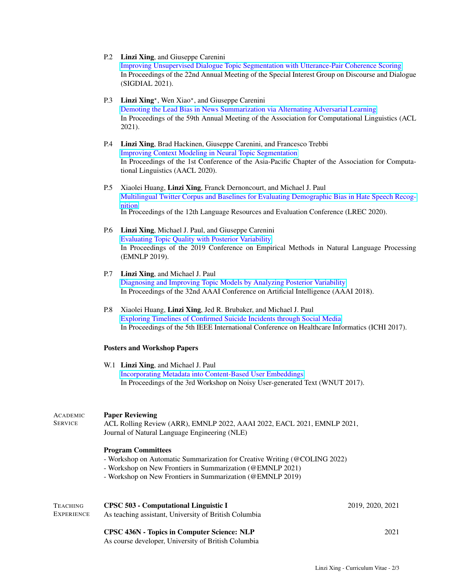- P.2 Linzi Xing, and Giuseppe Carenini [Improving Unsupervised Dialogue Topic Segmentation with Utterance-Pair Coherence Scoring](https://arxiv.org/pdf/2106.06719.pdf) In Proceedings of the 22nd Annual Meeting of the Special Interest Group on Discourse and Dialogue (SIGDIAL 2021).
- P.3 Linzi Xing<sup>\*</sup>, Wen Xiao<sup>\*</sup>, and Giuseppe Carenini [Demoting the Lead Bias in News Summarization via Alternating Adversarial Learning](https://arxiv.org/pdf/2105.14241.pdf) In Proceedings of the 59th Annual Meeting of the Association for Computational Linguistics (ACL 2021).
- P.4 Linzi Xing, Brad Hackinen, Giuseppe Carenini, and Francesco Trebbi [Improving Context Modeling in Neural Topic Segmentation](https://arxiv.org/pdf/2010.03138.pdf) In Proceedings of the 1st Conference of the Asia-Pacific Chapter of the Association for Computational Linguistics (AACL 2020).
- P.5 Xiaolei Huang, Linzi Xing, Franck Dernoncourt, and Michael J. Paul [Multilingual Twitter Corpus and Baselines for Evaluating Demographic Bias in Hate Speech Recog](https://arxiv.org/pdf/2002.10361.pdf)[nition](https://arxiv.org/pdf/2002.10361.pdf) In Proceedings of the 12th Language Resources and Evaluation Conference (LREC 2020).
- P.6 Linzi Xing, Michael J. Paul, and Giuseppe Carenini [Evaluating Topic Quality with Posterior Variability](https://arxiv.org/pdf/1909.03524.pdf) In Proceedings of the 2019 Conference on Empirical Methods in Natural Language Processing (EMNLP 2019).
- P.7 Linzi Xing, and Michael J. Paul [Diagnosing and Improving Topic Models by Analyzing Posterior Variability](https://ojs.aaai.org/index.php/AAAI/article/view/12033) In Proceedings of the 32nd AAAI Conference on Artificial Intelligence (AAAI 2018).
- P.8 Xiaolei Huang, Linzi Xing, Jed R. Brubaker, and Michael J. Paul [Exploring Timelines of Confirmed Suicide Incidents through Social Media](https://linzixing.me/files/timeline_suicide.pdf) In Proceedings of the 5th IEEE International Conference on Healthcare Informatics (ICHI 2017).

## Posters and Workshop Papers

W.1 Linzi Xing, and Michael J. Paul [Incorporating Metadata into Content-Based User Embeddings](https://aclanthology.org/W17-4406.pdf) In Proceedings of the 3rd Workshop on Noisy User-generated Text (WNUT 2017).

## ACADEMIC Paper Reviewing

SERVICE

ACL Rolling Review (ARR), EMNLP 2022, AAAI 2022, EACL 2021, EMNLP 2021, Journal of Natural Language Engineering (NLE)

## Program Committees

- Workshop on Automatic Summarization for Creative Writing (@COLING 2022)
- Workshop on New Frontiers in Summarization (@EMNLP 2021)
- Workshop on New Frontiers in Summarization (@EMNLP 2019)

| TEACHING<br>EXPERIENCE | <b>CPSC 503 - Computational Linguistic I</b><br>As teaching assistant, University of British Columbia | 2019, 2020, 2021 |
|------------------------|-------------------------------------------------------------------------------------------------------|------------------|
|                        | CPSC 436N - Topics in Computer Science: NLP<br>As course developer, University of British Columbia    | 2021             |